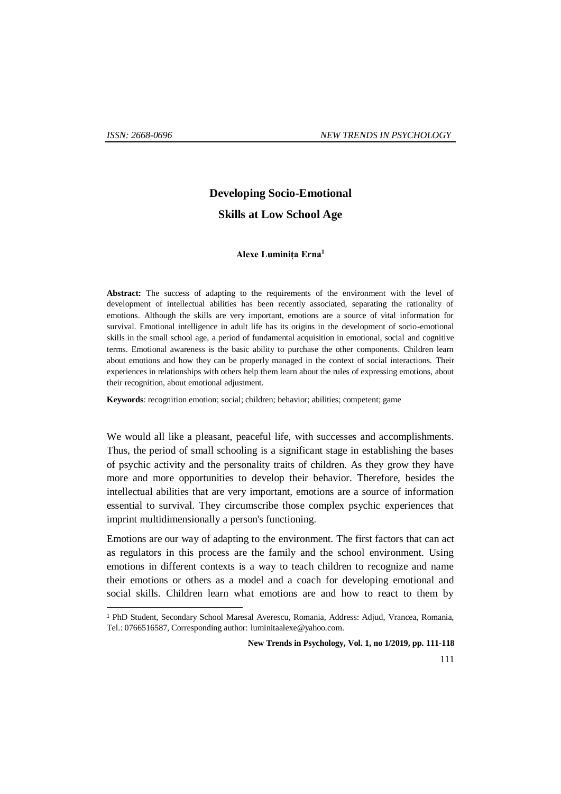1

# **Developing Socio-Emotional**

## **Skills at Low School Age**

#### **Alexe Luminița Erna<sup>1</sup>**

Abstract: The success of adapting to the requirements of the environment with the level of development of intellectual abilities has been recently associated, separating the rationality of emotions. Although the skills are very important, emotions are a source of vital information for survival. Emotional intelligence in adult life has its origins in the development of socio-emotional skills in the small school age, a period of fundamental acquisition in emotional, social and cognitive terms. Emotional awareness is the basic ability to purchase the other components. Children learn about emotions and how they can be properly managed in the context of social interactions. Their experiences in relationships with others help them learn about the rules of expressing emotions, about their recognition, about emotional adjustment.

**Keywords**: recognition emotion; social; children; behavior; abilities; competent; game

We would all like a pleasant, peaceful life, with successes and accomplishments. Thus, the period of small schooling is a significant stage in establishing the bases of psychic activity and the personality traits of children. As they grow they have more and more opportunities to develop their behavior. Therefore, besides the intellectual abilities that are very important, emotions are a source of information essential to survival. They circumscribe those complex psychic experiences that imprint multidimensionally a person's functioning.

Emotions are our way of adapting to the environment. The first factors that can act as regulators in this process are the family and the school environment. Using emotions in different contexts is a way to teach children to recognize and name their emotions or others as a model and a coach for developing emotional and social skills. Children learn what emotions are and how to react to them by

<sup>1</sup> PhD Student, Secondary School Maresal Averescu, Romania, Address: Adjud, Vrancea, Romania, Tel.: 0766516587, Corresponding author: [luminitaalexe@yahoo.com.](mailto:luminitaalexe@yahoo.com)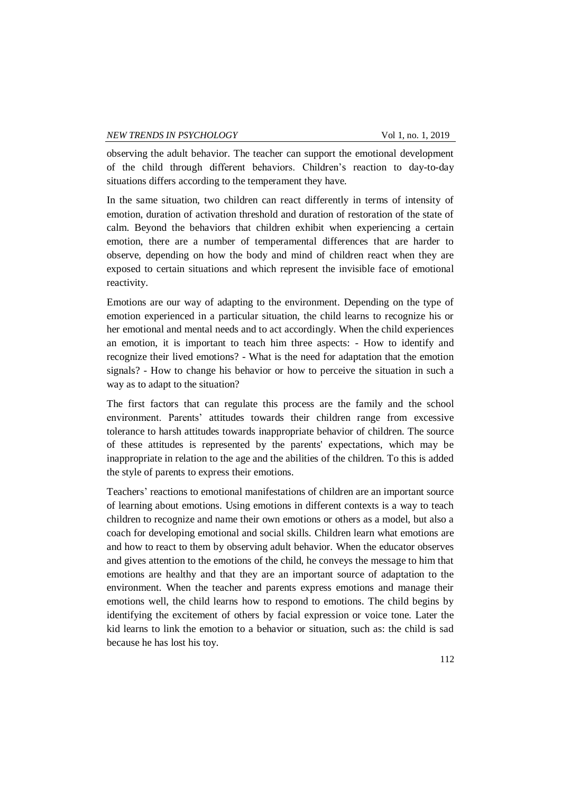observing the adult behavior. The teacher can support the emotional development of the child through different behaviors. Children's reaction to day-to-day situations differs according to the temperament they have.

In the same situation, two children can react differently in terms of intensity of emotion, duration of activation threshold and duration of restoration of the state of calm. Beyond the behaviors that children exhibit when experiencing a certain emotion, there are a number of temperamental differences that are harder to observe, depending on how the body and mind of children react when they are exposed to certain situations and which represent the invisible face of emotional reactivity.

Emotions are our way of adapting to the environment. Depending on the type of emotion experienced in a particular situation, the child learns to recognize his or her emotional and mental needs and to act accordingly. When the child experiences an emotion, it is important to teach him three aspects: - How to identify and recognize their lived emotions? - What is the need for adaptation that the emotion signals? - How to change his behavior or how to perceive the situation in such a way as to adapt to the situation?

The first factors that can regulate this process are the family and the school environment. Parents' attitudes towards their children range from excessive tolerance to harsh attitudes towards inappropriate behavior of children. The source of these attitudes is represented by the parents' expectations, which may be inappropriate in relation to the age and the abilities of the children. To this is added the style of parents to express their emotions.

Teachers' reactions to emotional manifestations of children are an important source of learning about emotions. Using emotions in different contexts is a way to teach children to recognize and name their own emotions or others as a model, but also a coach for developing emotional and social skills. Children learn what emotions are and how to react to them by observing adult behavior. When the educator observes and gives attention to the emotions of the child, he conveys the message to him that emotions are healthy and that they are an important source of adaptation to the environment. When the teacher and parents express emotions and manage their emotions well, the child learns how to respond to emotions. The child begins by identifying the excitement of others by facial expression or voice tone. Later the kid learns to link the emotion to a behavior or situation, such as: the child is sad because he has lost his toy.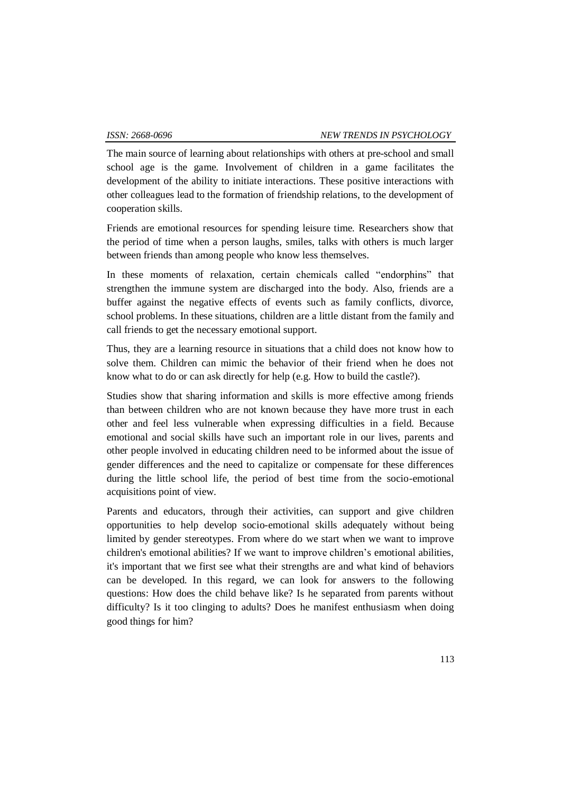The main source of learning about relationships with others at pre-school and small school age is the game. Involvement of children in a game facilitates the development of the ability to initiate interactions. These positive interactions with other colleagues lead to the formation of friendship relations, to the development of cooperation skills.

Friends are emotional resources for spending leisure time. Researchers show that the period of time when a person laughs, smiles, talks with others is much larger between friends than among people who know less themselves.

In these moments of relaxation, certain chemicals called "endorphins" that strengthen the immune system are discharged into the body. Also, friends are a buffer against the negative effects of events such as family conflicts, divorce, school problems. In these situations, children are a little distant from the family and call friends to get the necessary emotional support.

Thus, they are a learning resource in situations that a child does not know how to solve them. Children can mimic the behavior of their friend when he does not know what to do or can ask directly for help (e.g. How to build the castle?).

Studies show that sharing information and skills is more effective among friends than between children who are not known because they have more trust in each other and feel less vulnerable when expressing difficulties in a field. Because emotional and social skills have such an important role in our lives, parents and other people involved in educating children need to be informed about the issue of gender differences and the need to capitalize or compensate for these differences during the little school life, the period of best time from the socio-emotional acquisitions point of view.

Parents and educators, through their activities, can support and give children opportunities to help develop socio-emotional skills adequately without being limited by gender stereotypes. From where do we start when we want to improve children's emotional abilities? If we want to improve children's emotional abilities, it's important that we first see what their strengths are and what kind of behaviors can be developed. In this regard, we can look for answers to the following questions: How does the child behave like? Is he separated from parents without difficulty? Is it too clinging to adults? Does he manifest enthusiasm when doing good things for him?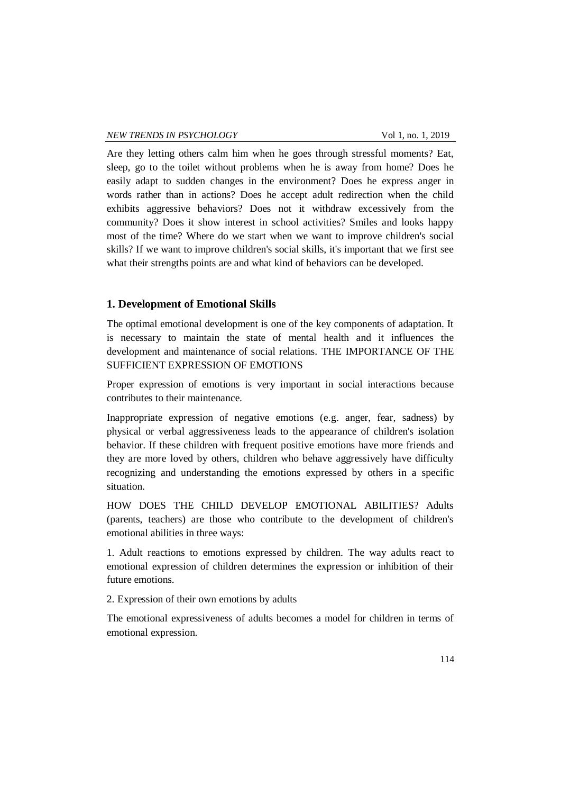Are they letting others calm him when he goes through stressful moments? Eat, sleep, go to the toilet without problems when he is away from home? Does he easily adapt to sudden changes in the environment? Does he express anger in words rather than in actions? Does he accept adult redirection when the child exhibits aggressive behaviors? Does not it withdraw excessively from the community? Does it show interest in school activities? Smiles and looks happy most of the time? Where do we start when we want to improve children's social skills? If we want to improve children's social skills, it's important that we first see what their strengths points are and what kind of behaviors can be developed.

## **1. Development of Emotional Skills**

The optimal emotional development is one of the key components of adaptation. It is necessary to maintain the state of mental health and it influences the development and maintenance of social relations. THE IMPORTANCE OF THE SUFFICIENT EXPRESSION OF EMOTIONS

Proper expression of emotions is very important in social interactions because contributes to their maintenance.

Inappropriate expression of negative emotions (e.g. anger, fear, sadness) by physical or verbal aggressiveness leads to the appearance of children's isolation behavior. If these children with frequent positive emotions have more friends and they are more loved by others, children who behave aggressively have difficulty recognizing and understanding the emotions expressed by others in a specific situation.

HOW DOES THE CHILD DEVELOP EMOTIONAL ABILITIES? Adults (parents, teachers) are those who contribute to the development of children's emotional abilities in three ways:

1. Adult reactions to emotions expressed by children. The way adults react to emotional expression of children determines the expression or inhibition of their future emotions.

2. Expression of their own emotions by adults

The emotional expressiveness of adults becomes a model for children in terms of emotional expression.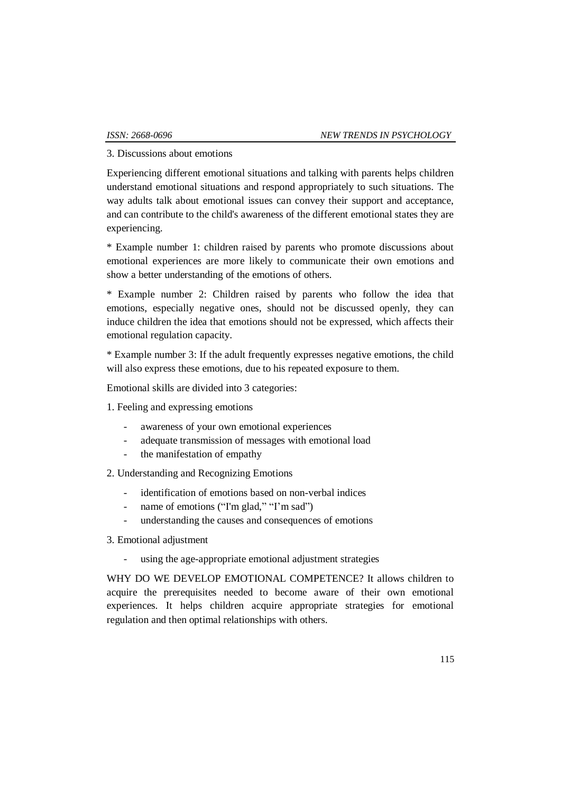3. Discussions about emotions

Experiencing different emotional situations and talking with parents helps children understand emotional situations and respond appropriately to such situations. The way adults talk about emotional issues can convey their support and acceptance, and can contribute to the child's awareness of the different emotional states they are experiencing.

\* Example number 1: children raised by parents who promote discussions about emotional experiences are more likely to communicate their own emotions and show a better understanding of the emotions of others.

\* Example number 2: Children raised by parents who follow the idea that emotions, especially negative ones, should not be discussed openly, they can induce children the idea that emotions should not be expressed, which affects their emotional regulation capacity.

\* Example number 3: If the adult frequently expresses negative emotions, the child will also express these emotions, due to his repeated exposure to them.

Emotional skills are divided into 3 categories:

- 1. Feeling and expressing emotions
	- awareness of your own emotional experiences
	- adequate transmission of messages with emotional load
	- the manifestation of empathy
- 2. Understanding and Recognizing Emotions
	- identification of emotions based on non-verbal indices
	- name of emotions ("I'm glad," "I'm sad")
	- understanding the causes and consequences of emotions
- 3. Emotional adjustment
	- using the age-appropriate emotional adjustment strategies

WHY DO WE DEVELOP EMOTIONAL COMPETENCE? It allows children to acquire the prerequisites needed to become aware of their own emotional experiences. It helps children acquire appropriate strategies for emotional regulation and then optimal relationships with others.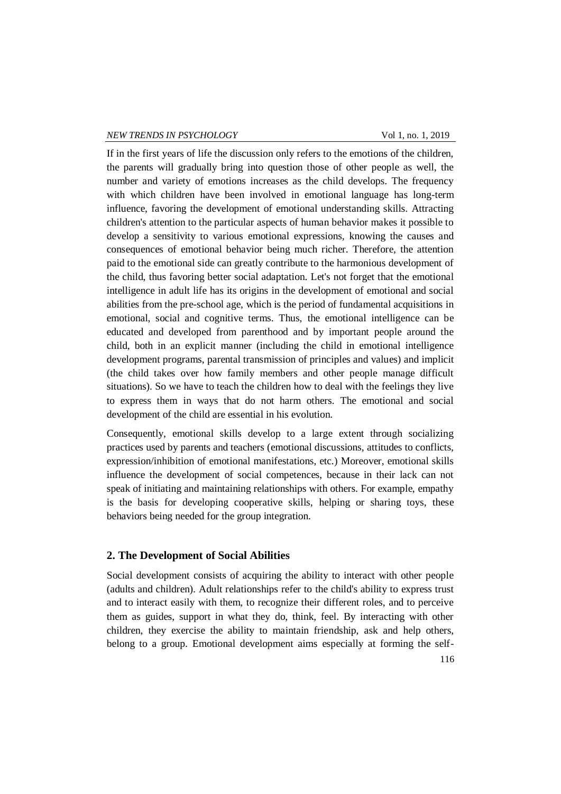#### *NEW TRENDS IN PSYCHOLOGY* Vol 1, no. 1, 2019

If in the first years of life the discussion only refers to the emotions of the children, the parents will gradually bring into question those of other people as well, the number and variety of emotions increases as the child develops. The frequency with which children have been involved in emotional language has long-term influence, favoring the development of emotional understanding skills. Attracting children's attention to the particular aspects of human behavior makes it possible to develop a sensitivity to various emotional expressions, knowing the causes and consequences of emotional behavior being much richer. Therefore, the attention paid to the emotional side can greatly contribute to the harmonious development of the child, thus favoring better social adaptation. Let's not forget that the emotional intelligence in adult life has its origins in the development of emotional and social abilities from the pre-school age, which is the period of fundamental acquisitions in emotional, social and cognitive terms. Thus, the emotional intelligence can be educated and developed from parenthood and by important people around the child, both in an explicit manner (including the child in emotional intelligence development programs, parental transmission of principles and values) and implicit (the child takes over how family members and other people manage difficult situations). So we have to teach the children how to deal with the feelings they live to express them in ways that do not harm others. The emotional and social development of the child are essential in his evolution.

Consequently, emotional skills develop to a large extent through socializing practices used by parents and teachers (emotional discussions, attitudes to conflicts, expression/inhibition of emotional manifestations, etc.) Moreover, emotional skills influence the development of social competences, because in their lack can not speak of initiating and maintaining relationships with others. For example, empathy is the basis for developing cooperative skills, helping or sharing toys, these behaviors being needed for the group integration.

## **2. The Development of Social Abilities**

Social development consists of acquiring the ability to interact with other people (adults and children). Adult relationships refer to the child's ability to express trust and to interact easily with them, to recognize their different roles, and to perceive them as guides, support in what they do, think, feel. By interacting with other children, they exercise the ability to maintain friendship, ask and help others, belong to a group. Emotional development aims especially at forming the self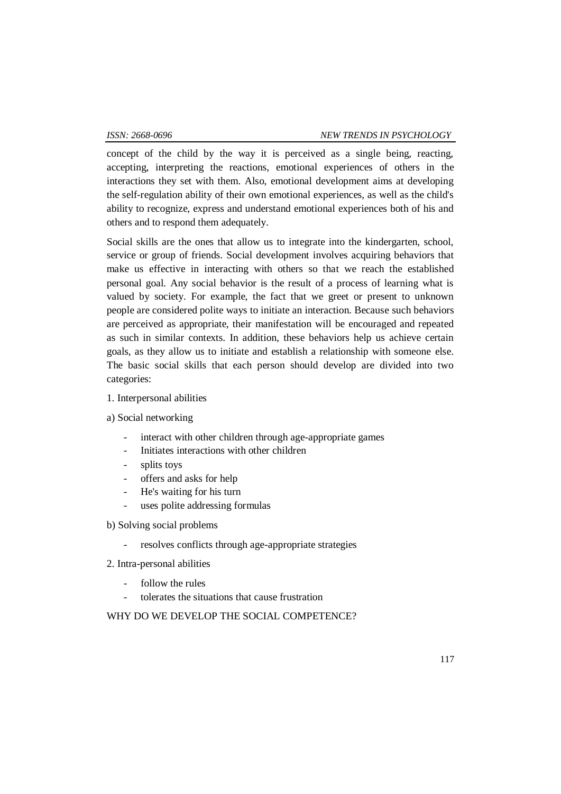concept of the child by the way it is perceived as a single being, reacting, accepting, interpreting the reactions, emotional experiences of others in the interactions they set with them. Also, emotional development aims at developing the self-regulation ability of their own emotional experiences, as well as the child's ability to recognize, express and understand emotional experiences both of his and others and to respond them adequately.

Social skills are the ones that allow us to integrate into the kindergarten, school, service or group of friends. Social development involves acquiring behaviors that make us effective in interacting with others so that we reach the established personal goal. Any social behavior is the result of a process of learning what is valued by society. For example, the fact that we greet or present to unknown people are considered polite ways to initiate an interaction. Because such behaviors are perceived as appropriate, their manifestation will be encouraged and repeated as such in similar contexts. In addition, these behaviors help us achieve certain goals, as they allow us to initiate and establish a relationship with someone else. The basic social skills that each person should develop are divided into two categories:

## 1. Interpersonal abilities

a) Social networking

- interact with other children through age-appropriate games
- Initiates interactions with other children
- splits toys
- offers and asks for help
- He's waiting for his turn
- uses polite addressing formulas
- b) Solving social problems
	- resolves conflicts through age-appropriate strategies
- 2. Intra-personal abilities
	- follow the rules
	- tolerates the situations that cause frustration

## WHY DO WE DEVELOP THE SOCIAL COMPETENCE?